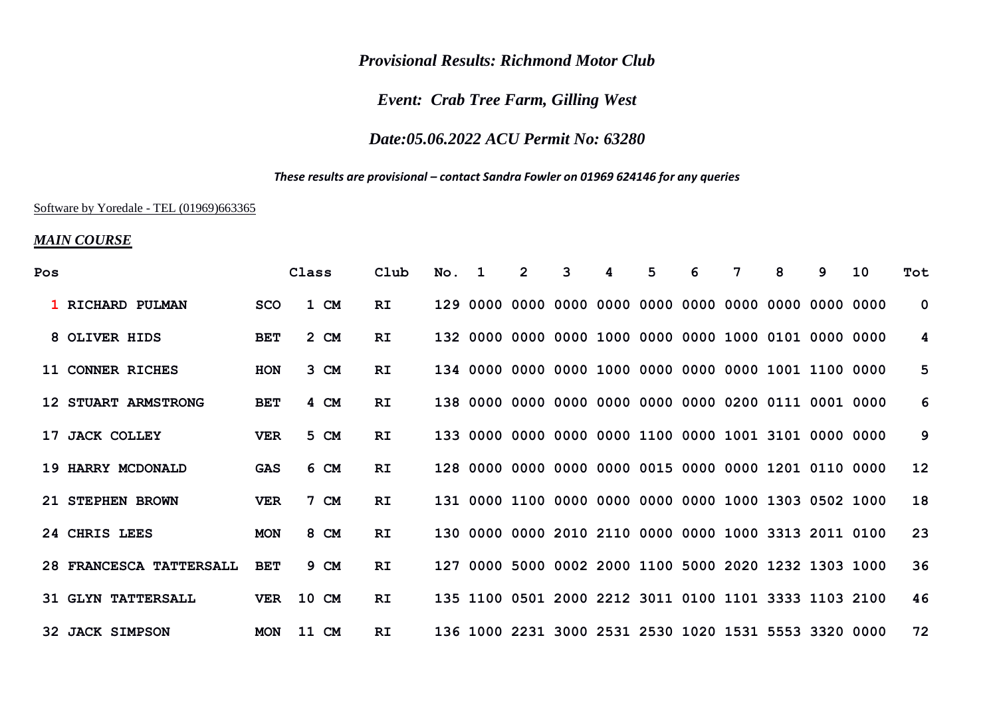### *Provisional Results: Richmond Motor Club*

# *Event: Crab Tree Farm, Gilling West*

# *Date:05.06.2022 ACU Permit No: 63280*

#### *These results are provisional – contact Sandra Fowler on 01969 624146 for any queries*

#### Software by Yoredale - TEL (01969)663365

### *MAIN COURSE*

| Pos |                           |            | Class | Club      | No. | 1. | $\overline{2}$ | 3 | 4 | 5                                                     | 6 | 7 | 8 | q | 10 | Tot             |
|-----|---------------------------|------------|-------|-----------|-----|----|----------------|---|---|-------------------------------------------------------|---|---|---|---|----|-----------------|
|     | 1 RICHARD PULMAN          | <b>SCO</b> | 1 CM  | RI        |     |    |                |   |   |                                                       |   |   |   |   |    | $\mathbf{0}$    |
|     | 8 OLIVER HIDS             | <b>BET</b> | 2 CM  | <b>RI</b> |     |    |                |   |   | 132 0000 0000 0000 1000 0000 0000 1000 0101 0000 0000 |   |   |   |   |    | 4               |
|     | 11 CONNER RICHES          | <b>HON</b> | 3 CM  | <b>RI</b> |     |    |                |   |   | 134 0000 0000 0000 1000 0000 0000 0000 1001 1100 0000 |   |   |   |   |    | 5               |
|     | 12 STUART ARMSTRONG       | <b>BET</b> | 4 CM  | <b>RI</b> |     |    |                |   |   | 138 0000 0000 0000 0000 0000 0000 0200 0111 0001 0000 |   |   |   |   |    | 6               |
|     | 17 JACK COLLEY            | <b>VER</b> | 5 CM  | <b>RI</b> |     |    |                |   |   | 133 0000 0000 0000 0000 1100 0000 1001 3101 0000 0000 |   |   |   |   |    | 9               |
|     | 19 HARRY MCDONALD         | GAS        | 6 CM  | <b>RI</b> |     |    |                |   |   | 128 0000 0000 0000 0000 0015 0000 0000 1201 0110 0000 |   |   |   |   |    | 12 <sup>°</sup> |
|     | 21 STEPHEN BROWN          | <b>VER</b> | 7 CM  | <b>RI</b> |     |    |                |   |   | 131 0000 1100 0000 0000 0000 0000 1000 1303 0502 1000 |   |   |   |   |    | 18              |
|     | 24 CHRIS LEES             | <b>MON</b> | 8 CM  | <b>RI</b> |     |    |                |   |   | 130 0000 0000 2010 2110 0000 0000 1000 3313 2011 0100 |   |   |   |   |    | 23              |
|     | 28 FRANCESCA TATTERSALL   | <b>BET</b> | 9 CM  | <b>RI</b> |     |    |                |   |   | 127 0000 5000 0002 2000 1100 5000 2020 1232 1303 1000 |   |   |   |   |    | 36              |
|     | <b>31 GLYN TATTERSALL</b> | <b>VER</b> | 10 CM | RI.       |     |    |                |   |   | 135 1100 0501 2000 2212 3011 0100 1101 3333 1103 2100 |   |   |   |   |    | 46              |
|     | <b>32 JACK SIMPSON</b>    | <b>MON</b> | 11 CM | <b>RI</b> |     |    |                |   |   | 136 1000 2231 3000 2531 2530 1020 1531 5553 3320 0000 |   |   |   |   |    | 72              |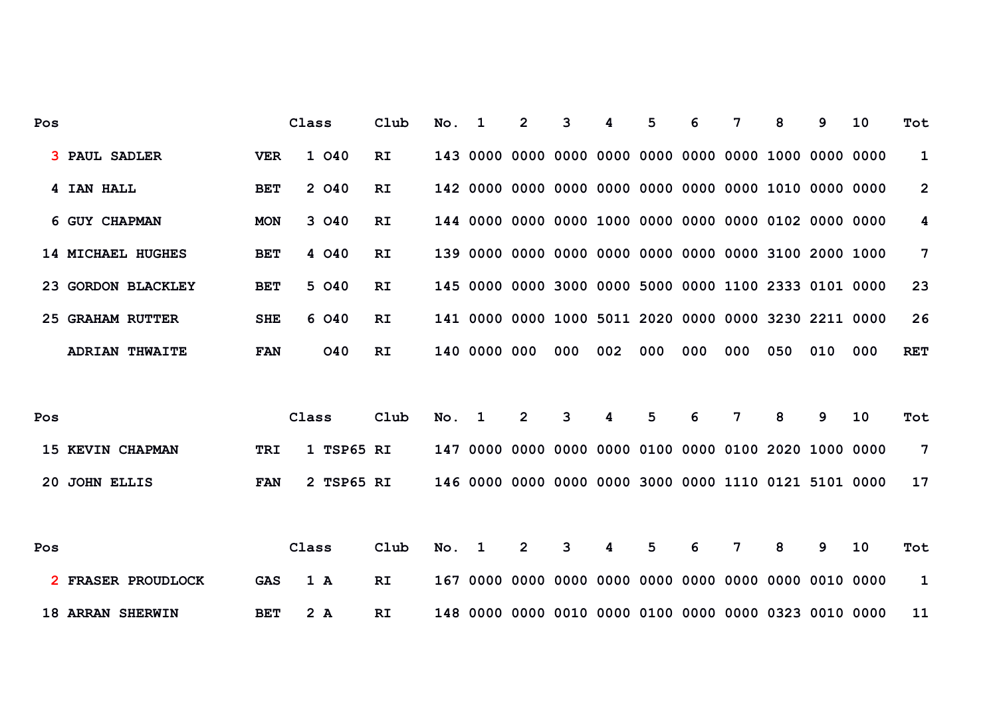| Pos |                         |            | Class      | Club      | No. | $\mathbf 1$  | $\overline{2}$ | 3                                                     |     | 5   | 6   | 7              | 8   | 9   | 10  | Tot                     |
|-----|-------------------------|------------|------------|-----------|-----|--------------|----------------|-------------------------------------------------------|-----|-----|-----|----------------|-----|-----|-----|-------------------------|
|     | <b>3 PAUL SADLER</b>    | <b>VER</b> | 1 040      | <b>RI</b> |     |              |                | 143 0000 0000 0000 0000 0000 0000 0000 1000 0000 0000 |     |     |     |                |     |     |     | 1                       |
|     | 4 IAN HALL              | <b>BET</b> | 2 040      | <b>RI</b> |     |              |                | 142 0000 0000 0000 0000 0000 0000 0000 1010 0000 0000 |     |     |     |                |     |     |     | $\overline{2}$          |
|     | 6 GUY CHAPMAN           | <b>MON</b> | 3 040      | RI        |     |              |                |                                                       |     |     |     |                |     |     |     | $\overline{\mathbf{4}}$ |
|     | 14 MICHAEL HUGHES       | <b>BET</b> | 4 040      | RI        |     |              |                | 139 0000 0000 0000 0000 0000 0000 0000 3100 2000 1000 |     |     |     |                |     |     |     | $7\overline{ }$         |
|     | 23 GORDON BLACKLEY      | <b>BET</b> | 5 040      | <b>RI</b> |     |              |                | 145 0000 0000 3000 0000 5000 0000 1100 2333 0101 0000 |     |     |     |                |     |     |     | 23                      |
|     | 25 GRAHAM RUTTER        | <b>SHE</b> | 6 040      | RI        |     |              |                | 141 0000 0000 1000 5011 2020 0000 0000 3230 2211 0000 |     |     |     |                |     |     |     | 26                      |
|     | <b>ADRIAN THWAITE</b>   | <b>FAN</b> | <b>040</b> | RI        |     | 140 0000 000 |                | 000                                                   | 002 | 000 | 000 | 000            | 050 | 010 | 000 | <b>RET</b>              |
|     |                         |            |            |           |     |              |                |                                                       |     |     |     |                |     |     |     |                         |
| Pos |                         |            | Class      | Club      | No. | 1            | 2              | 3                                                     | 4   | 5   | 6   | 7              | 8   | 9   | 10  | Tot                     |
|     | 15 KEVIN CHAPMAN        | <b>TRI</b> | 1 TSP65 RI |           |     |              |                | 147 0000 0000 0000 0000 0100 0000 0100 2020 1000 0000 |     |     |     |                |     |     |     | 7                       |
|     | 20 JOHN ELLIS           | <b>FAN</b> | 2 TSP65 RI |           |     |              |                | 146 0000 0000 0000 0000 3000 0000 1110 0121 5101 0000 |     |     |     |                |     |     |     | 17                      |
|     |                         |            |            |           |     |              |                |                                                       |     |     |     |                |     |     |     |                         |
| Pos |                         |            | Class      | Club      | No. | 1            | $\overline{2}$ | 3                                                     | 4   | 5   | 6   | $\overline{7}$ | 8   | 9   | 10  | Tot                     |
|     | 2 FRASER PROUDLOCK      | <b>GAS</b> | 1 A        | RI        |     |              |                |                                                       |     |     |     |                |     |     |     | 1                       |
|     | <b>18 ARRAN SHERWIN</b> | <b>BET</b> | 2 A        | RI        |     |              |                |                                                       |     |     |     |                |     |     |     | 11                      |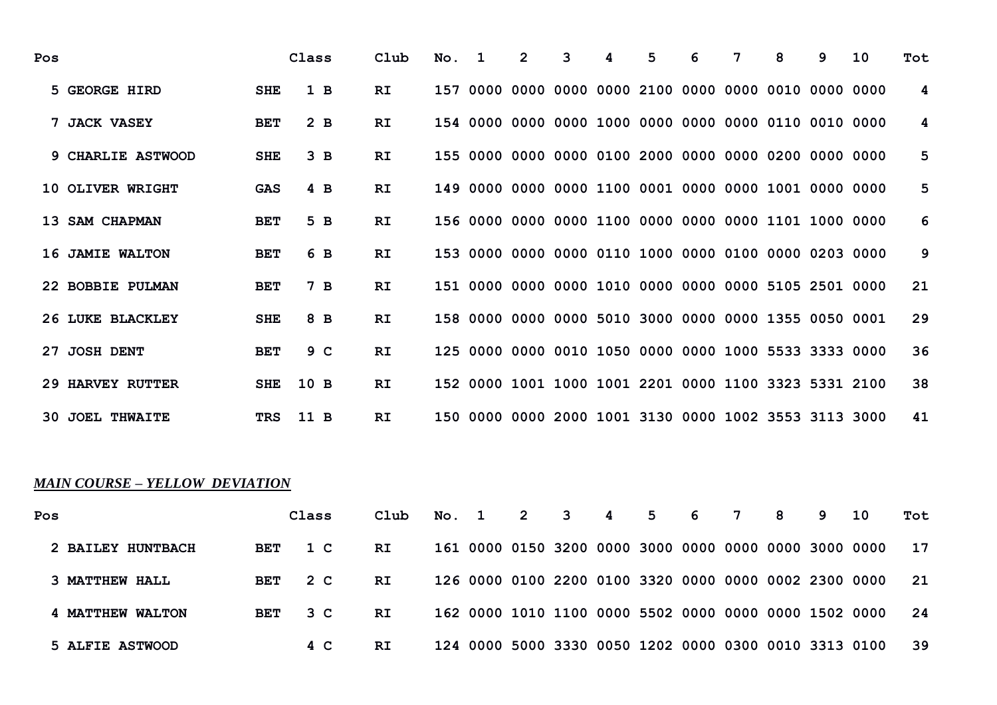| Pos |                         |            | Class          | Club      | No. | 1 | 2 | 3 | 5 | 6 | 7                                                     | 8 | q | 10 | Tot |
|-----|-------------------------|------------|----------------|-----------|-----|---|---|---|---|---|-------------------------------------------------------|---|---|----|-----|
|     | 5 GEORGE HIRD           | <b>SHE</b> | 1 B            | RI.       |     |   |   |   |   |   | 157 0000 0000 0000 0000 2100 0000 0000 0010 0000 0000 |   |   |    | 4   |
|     | 7 JACK VASEY            | <b>BET</b> | 2 <sub>B</sub> | RI.       |     |   |   |   |   |   |                                                       |   |   |    | 4   |
|     | 9 CHARLIE ASTWOOD       | <b>SHE</b> | 3 <sub>B</sub> | RI.       |     |   |   |   |   |   |                                                       |   |   |    | 5   |
|     | 10 OLIVER WRIGHT        | <b>GAS</b> | 4 B            | RI.       |     |   |   |   |   |   | 149 0000 0000 0000 1100 0001 0000 0000 1001 0000 0000 |   |   |    | 5   |
|     | 13 SAM CHAPMAN          | <b>BET</b> | 5B             | <b>RI</b> |     |   |   |   |   |   | 156 0000 0000 0000 1100 0000 0000 0000 1101 1000 0000 |   |   |    | 6   |
|     | 16 JAMIE WALTON         | <b>BET</b> | 6 B            | RI.       |     |   |   |   |   |   | 153 0000 0000 0000 0110 1000 0000 0100 0000 0203 0000 |   |   |    | 9   |
|     | 22 BOBBIE PULMAN        | <b>BET</b> | 7B             | <b>RI</b> |     |   |   |   |   |   |                                                       |   |   |    | 21  |
|     | 26 LUKE BLACKLEY        | <b>SHE</b> | 8 B            | <b>RI</b> |     |   |   |   |   |   | 158 0000 0000 0000 5010 3000 0000 0000 1355 0050 0001 |   |   |    | 29  |
|     | 27 JOSH DENT            | <b>BET</b> | 9 C            | RI.       |     |   |   |   |   |   | 125 0000 0000 0010 1050 0000 0000 1000 5533 3333 0000 |   |   |    | 36  |
|     | <b>29 HARVEY RUTTER</b> | <b>SHE</b> | 10B            | <b>RI</b> |     |   |   |   |   |   | 152 0000 1001 1000 1001 2201 0000 1100 3323 5331 2100 |   |   |    | 38  |
|     | <b>30 JOEL THWAITE</b>  | <b>TRS</b> | 11 B           | RI.       |     |   |   |   |   |   | 150 0000 0000 2000 1001 3130 0000 1002 3553 3113 3000 |   |   |    | 41  |

# *MAIN COURSE – YELLOW DEVIATION*

| Pos               |            | Class | Club | No. 1 | 2 3 | $\overline{\mathbf{4}}$ | 5 6 | $\overline{7}$ | 8 | 9. | 10                                                    | Tot |
|-------------------|------------|-------|------|-------|-----|-------------------------|-----|----------------|---|----|-------------------------------------------------------|-----|
| 2 BAILEY HUNTBACH | BET        | 1 C   | RI.  |       |     |                         |     |                |   |    | 161 0000 0150 3200 0000 3000 0000 0000 0000 3000 0000 | 17  |
| 3 MATTHEW HALL    | <b>BET</b> | 2 C   | RI.  |       |     |                         |     |                |   |    | 126 0000 0100 2200 0100 3320 0000 0000 0002 2300 0000 | -21 |
| 4 MATTHEW WALTON  | <b>BET</b> | 3 C   | RI   |       |     |                         |     |                |   |    |                                                       | 24  |
| 5 ALFIE ASTWOOD   |            | 4 C   | RI   |       |     |                         |     |                |   |    | 124 0000 5000 3330 0050 1202 0000 0300 0010 3313 0100 | 39  |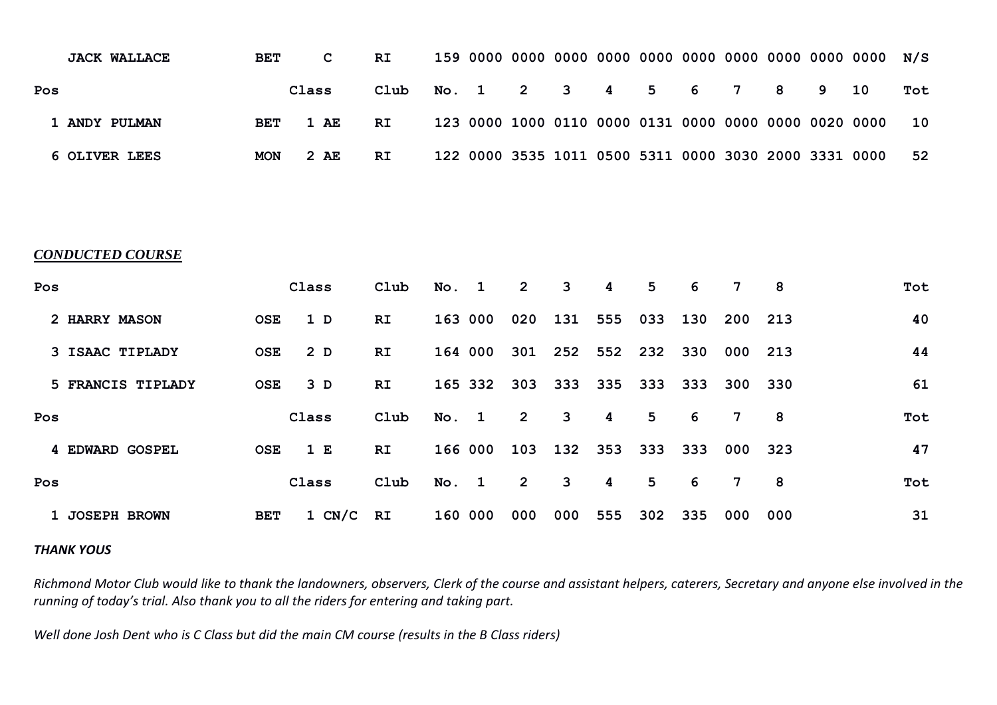|     | <b>JACK WALLACE</b> | <b>BET</b> | C     | RI.  |  |  |  |                                                       |  |      |     |
|-----|---------------------|------------|-------|------|--|--|--|-------------------------------------------------------|--|------|-----|
| Pos |                     |            | Class | Club |  |  |  | No. 1 2 3 4 5 6 7 8 9                                 |  | 10 I | Tot |
|     | 1 ANDY PULMAN       | BET        | 1 AE  | RI.  |  |  |  |                                                       |  |      | 10  |
|     | 6 OLIVER LEES       | <b>MON</b> | 2 AE  | RI.  |  |  |  | 122 0000 3535 1011 0500 5311 0000 3030 2000 3331 0000 |  |      | 52  |

#### *CONDUCTED COURSE*

| Pos |                   |            | Class          | Club | No.     | 1           | $\mathbf{2}$   | 3   | 4   | 5              | 6   | 7               | 8   | Tot |
|-----|-------------------|------------|----------------|------|---------|-------------|----------------|-----|-----|----------------|-----|-----------------|-----|-----|
|     | 2 HARRY MASON     | <b>OSE</b> | 1 <sub>D</sub> | RI.  | 163 000 |             | 020            | 131 | 555 | 033            | 130 | 200             | 213 | 40  |
|     | 3 ISAAC TIPLADY   | <b>OSE</b> | 2 D            | RI.  | 164 000 |             | 301            | 252 | 552 | 232            | 330 | 000             | 213 | 44  |
|     | 5 FRANCIS TIPLADY | <b>OSE</b> | 3D             | RI.  | 165 332 |             | 303            | 333 | 335 | 333            | 333 | 300             | 330 | 61  |
|     |                   |            |                |      |         |             |                |     |     |                |     |                 |     |     |
| Pos |                   |            | Class          | Club | No.     | $\mathbf 1$ | $\overline{2}$ | 3   | 4   | 5              | -6  | $7\phantom{.0}$ | - 8 | Tot |
|     | 4 EDWARD GOSPEL   | <b>OSE</b> | 1 E            | RI.  | 166 000 |             | 103            | 132 | 353 | 333            | 333 | 000             | 323 | 47  |
| Pos |                   |            | Class          | Club | No. 1   |             | $\overline{2}$ | 3   | 4   | 5 <sup>5</sup> | 6   | $7\phantom{.0}$ | 8   | Tot |

#### *THANK YOUS*

*Richmond Motor Club would like to thank the landowners, observers, Clerk of the course and assistant helpers, caterers, Secretary and anyone else involved in the running of today's trial. Also thank you to all the riders for entering and taking part.* 

*Well done Josh Dent who is C Class but did the main CM course (results in the B Class riders)*